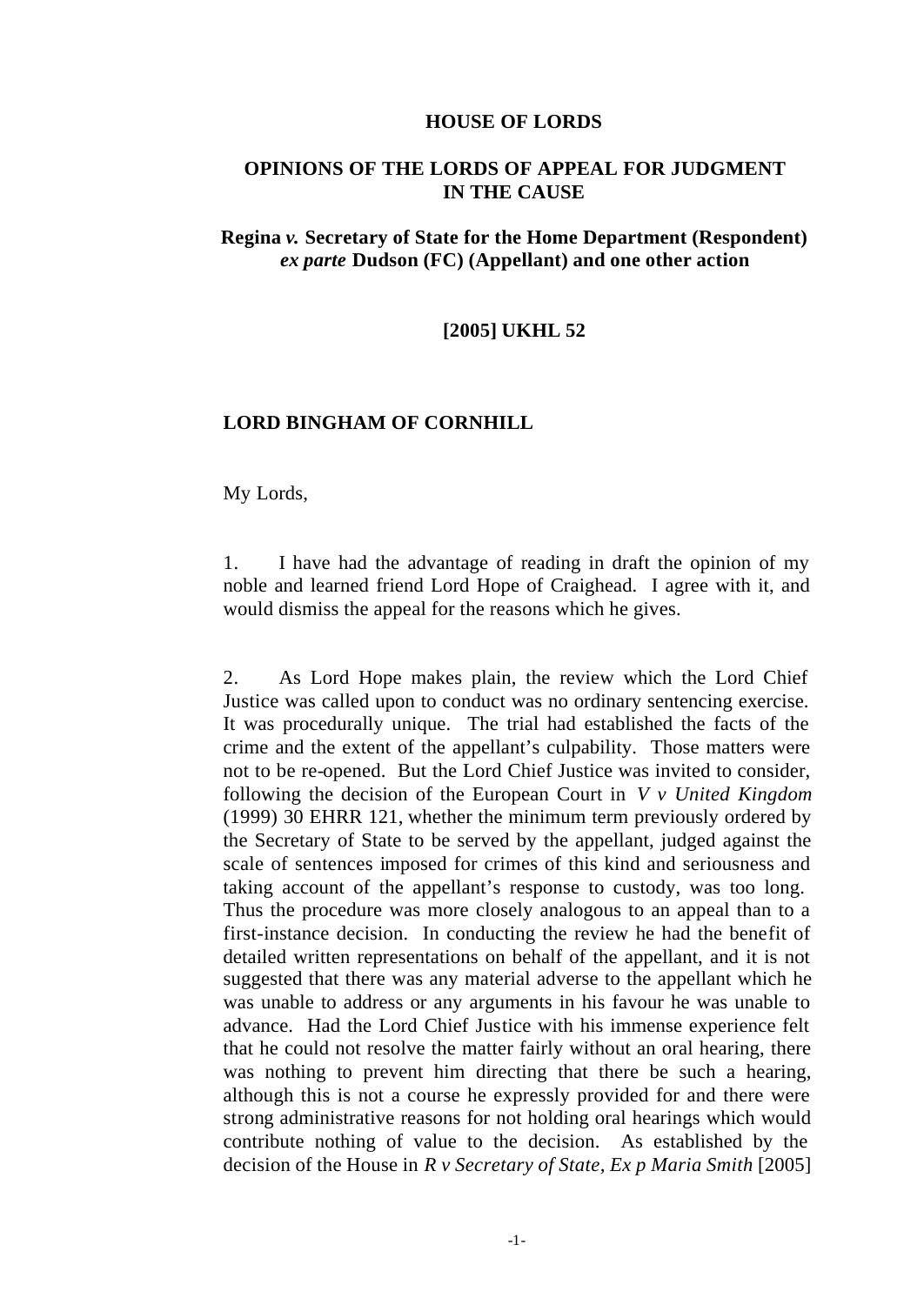#### **HOUSE OF LORDS**

### **OPINIONS OF THE LORDS OF APPEAL FOR JUDGMENT IN THE CAUSE**

### **Regina** *v.* **Secretary of State for the Home Department (Respondent)**  *ex parte* **Dudson (FC) (Appellant) and one other action**

### **[2005] UKHL 52**

#### **LORD BINGHAM OF CORNHILL**

My Lords,

1. I have had the advantage of reading in draft the opinion of my noble and learned friend Lord Hope of Craighead. I agree with it, and would dismiss the appeal for the reasons which he gives.

2. As Lord Hope makes plain, the review which the Lord Chief Justice was called upon to conduct was no ordinary sentencing exercise. It was procedurally unique. The trial had established the facts of the crime and the extent of the appellant's culpability. Those matters were not to be re-opened. But the Lord Chief Justice was invited to consider, following the decision of the European Court in *V v United Kingdom* (1999) 30 EHRR 121, whether the minimum term previously ordered by the Secretary of State to be served by the appellant, judged against the scale of sentences imposed for crimes of this kind and seriousness and taking account of the appellant's response to custody, was too long. Thus the procedure was more closely analogous to an appeal than to a first-instance decision. In conducting the review he had the benefit of detailed written representations on behalf of the appellant, and it is not suggested that there was any material adverse to the appellant which he was unable to address or any arguments in his favour he was unable to advance. Had the Lord Chief Justice with his immense experience felt that he could not resolve the matter fairly without an oral hearing, there was nothing to prevent him directing that there be such a hearing, although this is not a course he expressly provided for and there were strong administrative reasons for not holding oral hearings which would contribute nothing of value to the decision. As established by the decision of the House in *R v Secretary of State, Ex p Maria Smith* [2005]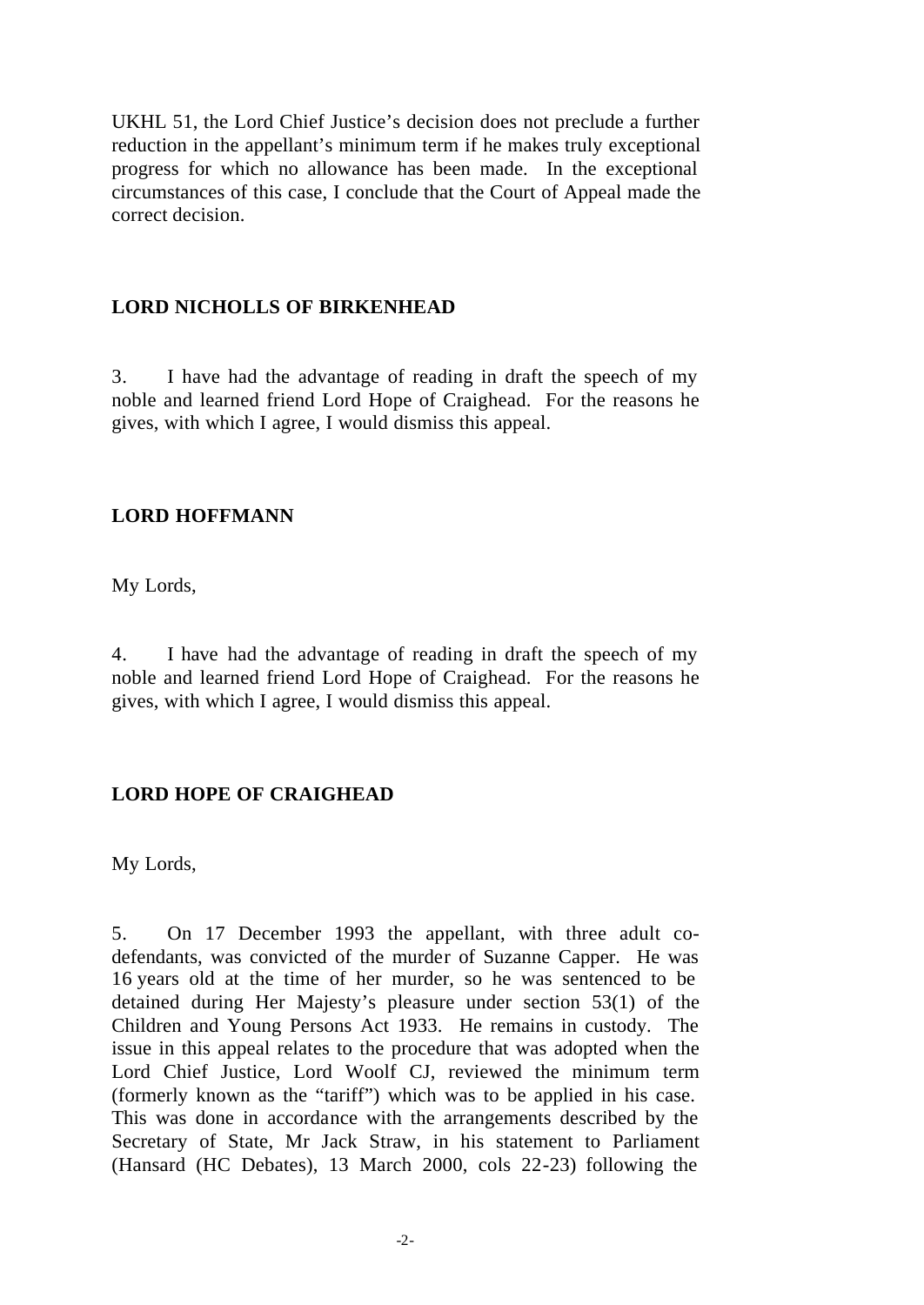UKHL 51, the Lord Chief Justice's decision does not preclude a further reduction in the appellant's minimum term if he makes truly exceptional progress for which no allowance has been made. In the exceptional circumstances of this case, I conclude that the Court of Appeal made the correct decision.

## **LORD NICHOLLS OF BIRKENHEAD**

3. I have had the advantage of reading in draft the speech of my noble and learned friend Lord Hope of Craighead. For the reasons he gives, with which I agree, I would dismiss this appeal.

## **LORD HOFFMANN**

My Lords,

4. I have had the advantage of reading in draft the speech of my noble and learned friend Lord Hope of Craighead. For the reasons he gives, with which I agree, I would dismiss this appeal.

## **LORD HOPE OF CRAIGHEAD**

My Lords,

5. On 17 December 1993 the appellant, with three adult codefendants, was convicted of the murder of Suzanne Capper. He was 16 years old at the time of her murder, so he was sentenced to be detained during Her Majesty's pleasure under section 53(1) of the Children and Young Persons Act 1933. He remains in custody. The issue in this appeal relates to the procedure that was adopted when the Lord Chief Justice, Lord Woolf CJ, reviewed the minimum term (formerly known as the "tariff") which was to be applied in his case. This was done in accordance with the arrangements described by the Secretary of State, Mr Jack Straw, in his statement to Parliament (Hansard (HC Debates), 13 March 2000, cols 22-23) following the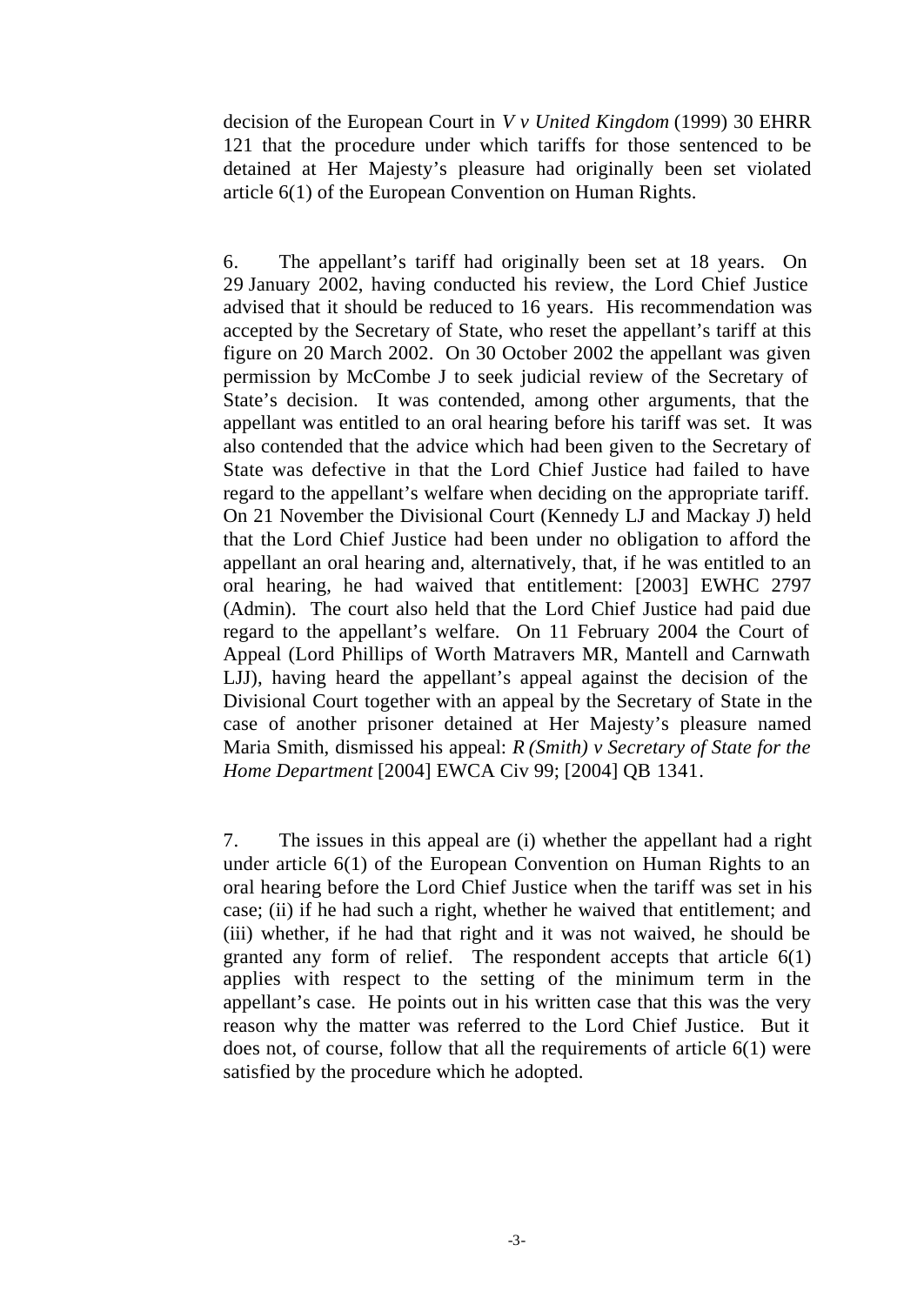decision of the European Court in *V v United Kingdom* (1999) 30 EHRR 121 that the procedure under which tariffs for those sentenced to be detained at Her Majesty's pleasure had originally been set violated article 6(1) of the European Convention on Human Rights.

6. The appellant's tariff had originally been set at 18 years. On 29 January 2002, having conducted his review, the Lord Chief Justice advised that it should be reduced to 16 years. His recommendation was accepted by the Secretary of State, who reset the appellant's tariff at this figure on 20 March 2002. On 30 October 2002 the appellant was given permission by McCombe J to seek judicial review of the Secretary of State's decision. It was contended, among other arguments, that the appellant was entitled to an oral hearing before his tariff was set. It was also contended that the advice which had been given to the Secretary of State was defective in that the Lord Chief Justice had failed to have regard to the appellant's welfare when deciding on the appropriate tariff. On 21 November the Divisional Court (Kennedy LJ and Mackay J) held that the Lord Chief Justice had been under no obligation to afford the appellant an oral hearing and, alternatively, that, if he was entitled to an oral hearing, he had waived that entitlement: [2003] EWHC 2797 (Admin). The court also held that the Lord Chief Justice had paid due regard to the appellant's welfare. On 11 February 2004 the Court of Appeal (Lord Phillips of Worth Matravers MR, Mantell and Carnwath LJJ), having heard the appellant's appeal against the decision of the Divisional Court together with an appeal by the Secretary of State in the case of another prisoner detained at Her Majesty's pleasure named Maria Smith, dismissed his appeal: *R (Smith) v Secretary of State for the Home Department* [2004] EWCA Civ 99; [2004] QB 1341.

7. The issues in this appeal are (i) whether the appellant had a right under article 6(1) of the European Convention on Human Rights to an oral hearing before the Lord Chief Justice when the tariff was set in his case; (ii) if he had such a right, whether he waived that entitlement; and (iii) whether, if he had that right and it was not waived, he should be granted any form of relief. The respondent accepts that article  $6(1)$ applies with respect to the setting of the minimum term in the appellant's case. He points out in his written case that this was the very reason why the matter was referred to the Lord Chief Justice. But it does not, of course, follow that all the requirements of article 6(1) were satisfied by the procedure which he adopted.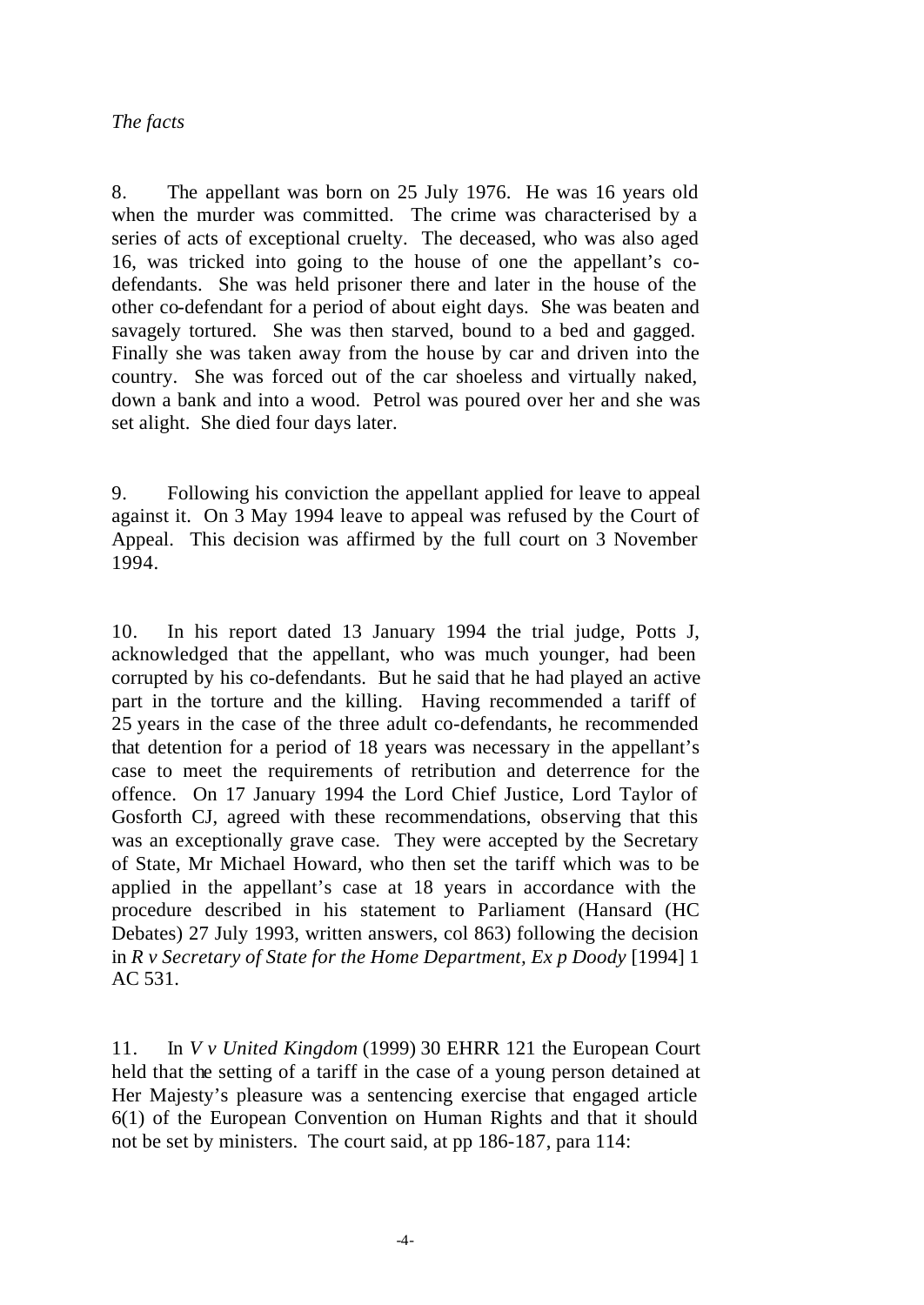## *The facts*

8. The appellant was born on 25 July 1976. He was 16 years old when the murder was committed. The crime was characterised by a series of acts of exceptional cruelty. The deceased, who was also aged 16, was tricked into going to the house of one the appellant's codefendants. She was held prisoner there and later in the house of the other co-defendant for a period of about eight days. She was beaten and savagely tortured. She was then starved, bound to a bed and gagged. Finally she was taken away from the house by car and driven into the country. She was forced out of the car shoeless and virtually naked, down a bank and into a wood. Petrol was poured over her and she was set alight. She died four days later.

9. Following his conviction the appellant applied for leave to appeal against it. On 3 May 1994 leave to appeal was refused by the Court of Appeal. This decision was affirmed by the full court on 3 November 1994.

10. In his report dated 13 January 1994 the trial judge, Potts J, acknowledged that the appellant, who was much younger, had been corrupted by his co-defendants. But he said that he had played an active part in the torture and the killing. Having recommended a tariff of 25 years in the case of the three adult co-defendants, he recommended that detention for a period of 18 years was necessary in the appellant's case to meet the requirements of retribution and deterrence for the offence. On 17 January 1994 the Lord Chief Justice, Lord Taylor of Gosforth CJ, agreed with these recommendations, observing that this was an exceptionally grave case. They were accepted by the Secretary of State, Mr Michael Howard, who then set the tariff which was to be applied in the appellant's case at 18 years in accordance with the procedure described in his statement to Parliament (Hansard (HC Debates) 27 July 1993, written answers, col 863) following the decision in *R v Secretary of State for the Home Department, Ex p Doody* [1994] 1 AC 531.

11. In *V v United Kingdom* (1999) 30 EHRR 121 the European Court held that the setting of a tariff in the case of a young person detained at Her Majesty's pleasure was a sentencing exercise that engaged article 6(1) of the European Convention on Human Rights and that it should not be set by ministers. The court said, at pp 186-187, para 114: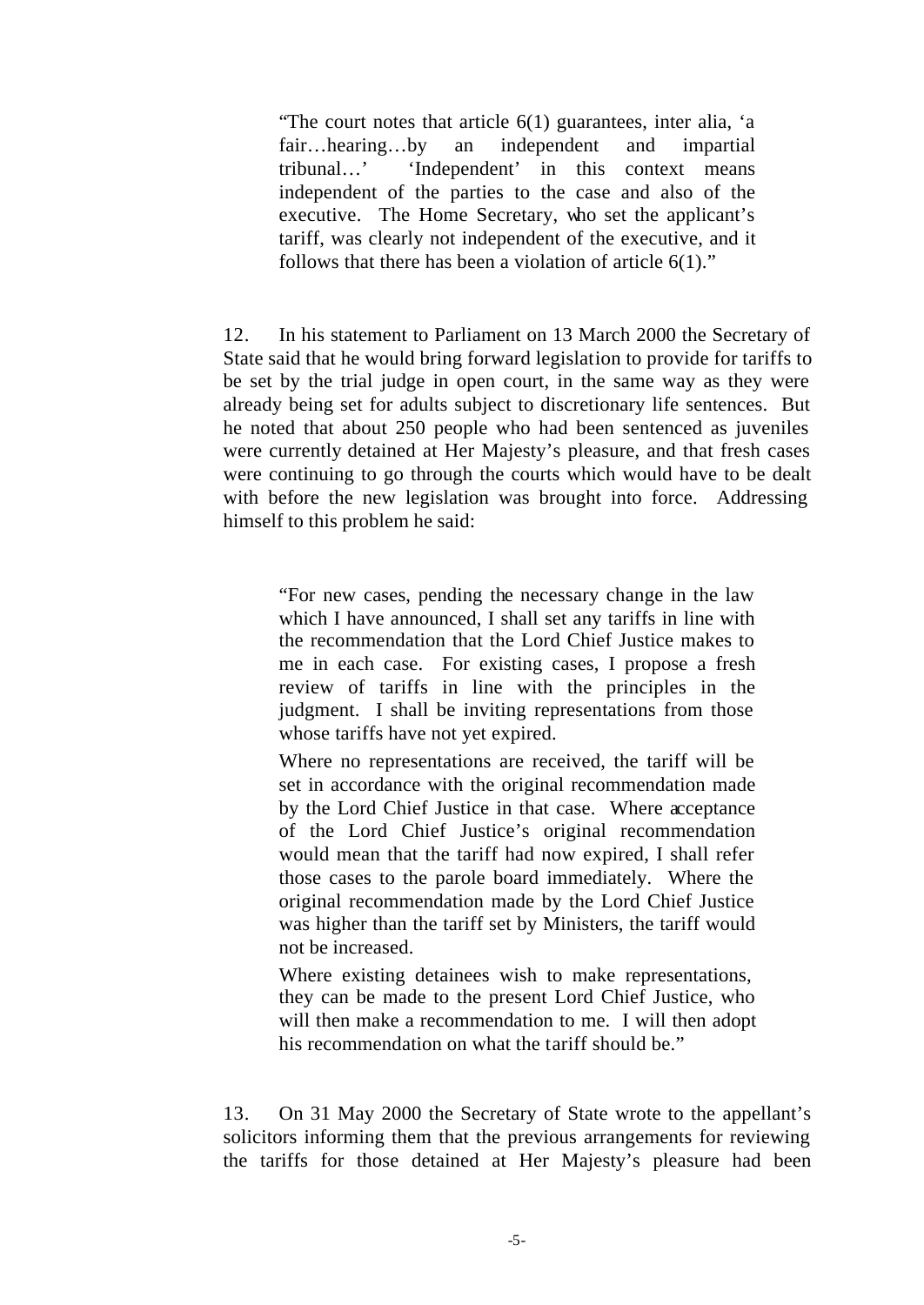"The court notes that article 6(1) guarantees, inter alia, 'a fair…hearing…by an independent and impartial tribunal…' 'Independent' in this context means independent of the parties to the case and also of the executive. The Home Secretary, who set the applicant's tariff, was clearly not independent of the executive, and it follows that there has been a violation of article  $6(1)$ ."

12. In his statement to Parliament on 13 March 2000 the Secretary of State said that he would bring forward legislation to provide for tariffs to be set by the trial judge in open court, in the same way as they were already being set for adults subject to discretionary life sentences. But he noted that about 250 people who had been sentenced as juveniles were currently detained at Her Majesty's pleasure, and that fresh cases were continuing to go through the courts which would have to be dealt with before the new legislation was brought into force. Addressing himself to this problem he said:

"For new cases, pending the necessary change in the law which I have announced, I shall set any tariffs in line with the recommendation that the Lord Chief Justice makes to me in each case. For existing cases, I propose a fresh review of tariffs in line with the principles in the judgment. I shall be inviting representations from those whose tariffs have not yet expired.

Where no representations are received, the tariff will be set in accordance with the original recommendation made by the Lord Chief Justice in that case. Where acceptance of the Lord Chief Justice's original recommendation would mean that the tariff had now expired, I shall refer those cases to the parole board immediately. Where the original recommendation made by the Lord Chief Justice was higher than the tariff set by Ministers, the tariff would not be increased.

Where existing detainees wish to make representations, they can be made to the present Lord Chief Justice, who will then make a recommendation to me. I will then adopt his recommendation on what the tariff should be."

13. On 31 May 2000 the Secretary of State wrote to the appellant's solicitors informing them that the previous arrangements for reviewing the tariffs for those detained at Her Majesty's pleasure had been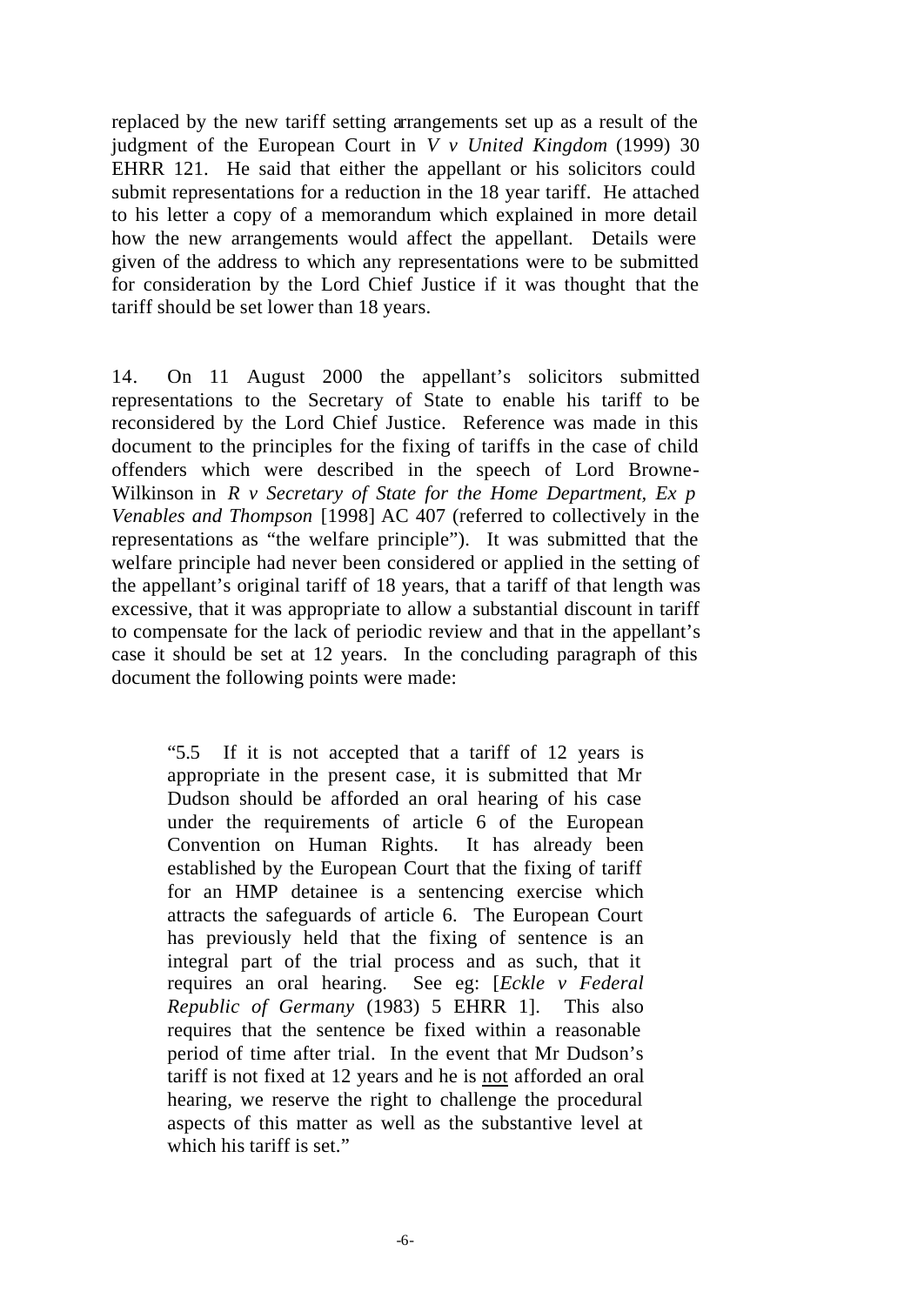replaced by the new tariff setting arrangements set up as a result of the judgment of the European Court in *V v United Kingdom* (1999) 30 EHRR 121. He said that either the appellant or his solicitors could submit representations for a reduction in the 18 year tariff. He attached to his letter a copy of a memorandum which explained in more detail how the new arrangements would affect the appellant. Details were given of the address to which any representations were to be submitted for consideration by the Lord Chief Justice if it was thought that the tariff should be set lower than 18 years.

14. On 11 August 2000 the appellant's solicitors submitted representations to the Secretary of State to enable his tariff to be reconsidered by the Lord Chief Justice. Reference was made in this document to the principles for the fixing of tariffs in the case of child offenders which were described in the speech of Lord Browne-Wilkinson in *R v Secretary of State for the Home Department, Ex p Venables and Thompson* [1998] AC 407 (referred to collectively in the representations as "the welfare principle"). It was submitted that the welfare principle had never been considered or applied in the setting of the appellant's original tariff of 18 years, that a tariff of that length was excessive, that it was appropriate to allow a substantial discount in tariff to compensate for the lack of periodic review and that in the appellant's case it should be set at 12 years. In the concluding paragraph of this document the following points were made:

"5.5 If it is not accepted that a tariff of 12 years is appropriate in the present case, it is submitted that Mr Dudson should be afforded an oral hearing of his case under the requirements of article 6 of the European Convention on Human Rights. It has already been established by the European Court that the fixing of tariff for an HMP detainee is a sentencing exercise which attracts the safeguards of article 6. The European Court has previously held that the fixing of sentence is an integral part of the trial process and as such, that it requires an oral hearing. See eg: [*Eckle v Federal Republic of Germany* (1983) 5 EHRR 1]. This also requires that the sentence be fixed within a reasonable period of time after trial. In the event that Mr Dudson's tariff is not fixed at 12 years and he is not afforded an oral hearing, we reserve the right to challenge the procedural aspects of this matter as well as the substantive level at which his tariff is set."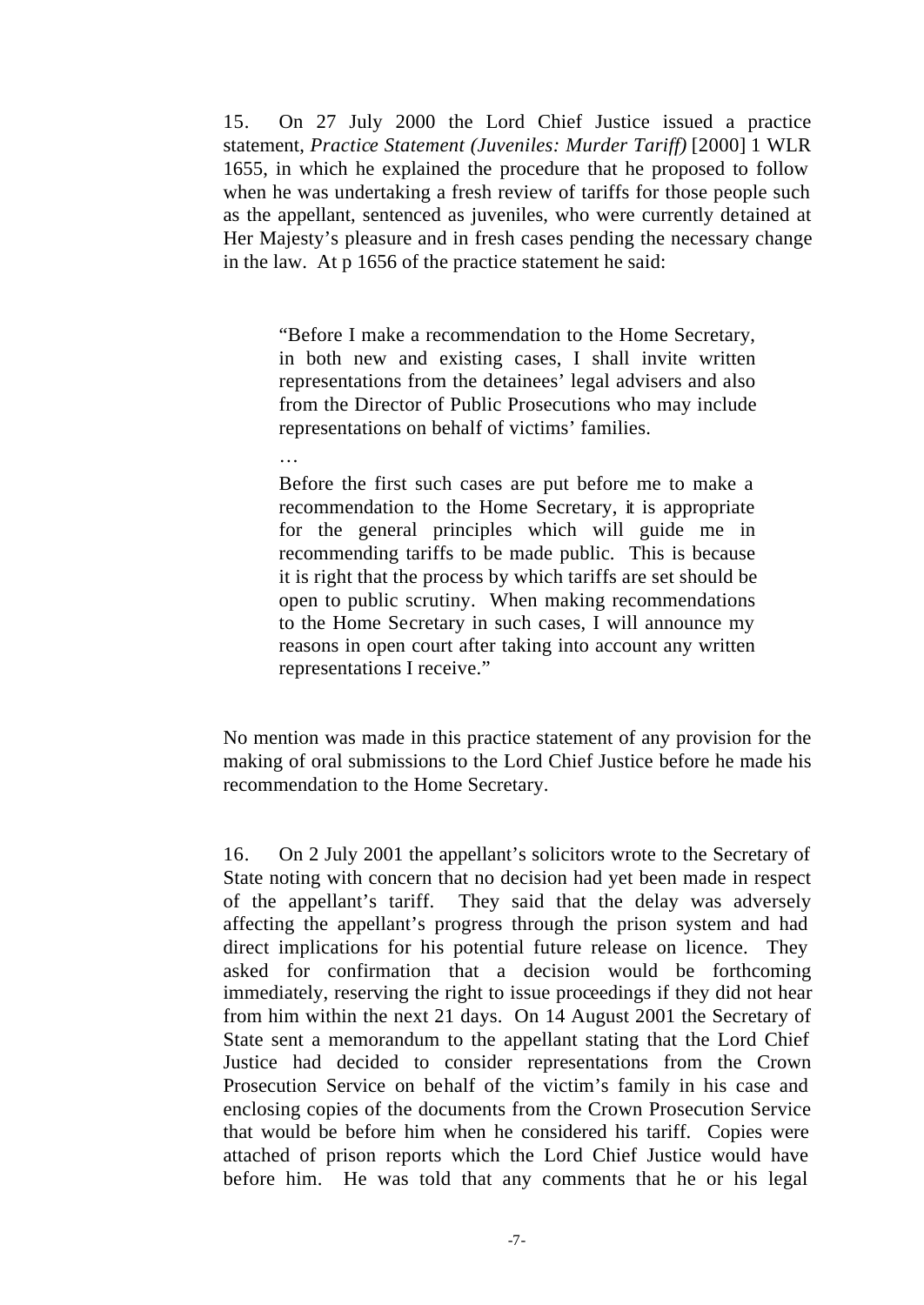15. On 27 July 2000 the Lord Chief Justice issued a practice statement, *Practice Statement (Juveniles: Murder Tariff)* [2000] 1 WLR 1655, in which he explained the procedure that he proposed to follow when he was undertaking a fresh review of tariffs for those people such as the appellant, sentenced as juveniles, who were currently detained at Her Majesty's pleasure and in fresh cases pending the necessary change in the law. At p 1656 of the practice statement he said:

"Before I make a recommendation to the Home Secretary, in both new and existing cases, I shall invite written representations from the detainees' legal advisers and also from the Director of Public Prosecutions who may include representations on behalf of victims' families.

…

Before the first such cases are put before me to make a recommendation to the Home Secretary, it is appropriate for the general principles which will guide me in recommending tariffs to be made public. This is because it is right that the process by which tariffs are set should be open to public scrutiny. When making recommendations to the Home Secretary in such cases, I will announce my reasons in open court after taking into account any written representations I receive."

No mention was made in this practice statement of any provision for the making of oral submissions to the Lord Chief Justice before he made his recommendation to the Home Secretary.

16. On 2 July 2001 the appellant's solicitors wrote to the Secretary of State noting with concern that no decision had yet been made in respect of the appellant's tariff. They said that the delay was adversely affecting the appellant's progress through the prison system and had direct implications for his potential future release on licence. They asked for confirmation that a decision would be forthcoming immediately, reserving the right to issue proceedings if they did not hear from him within the next 21 days. On 14 August 2001 the Secretary of State sent a memorandum to the appellant stating that the Lord Chief Justice had decided to consider representations from the Crown Prosecution Service on behalf of the victim's family in his case and enclosing copies of the documents from the Crown Prosecution Service that would be before him when he considered his tariff. Copies were attached of prison reports which the Lord Chief Justice would have before him. He was told that any comments that he or his legal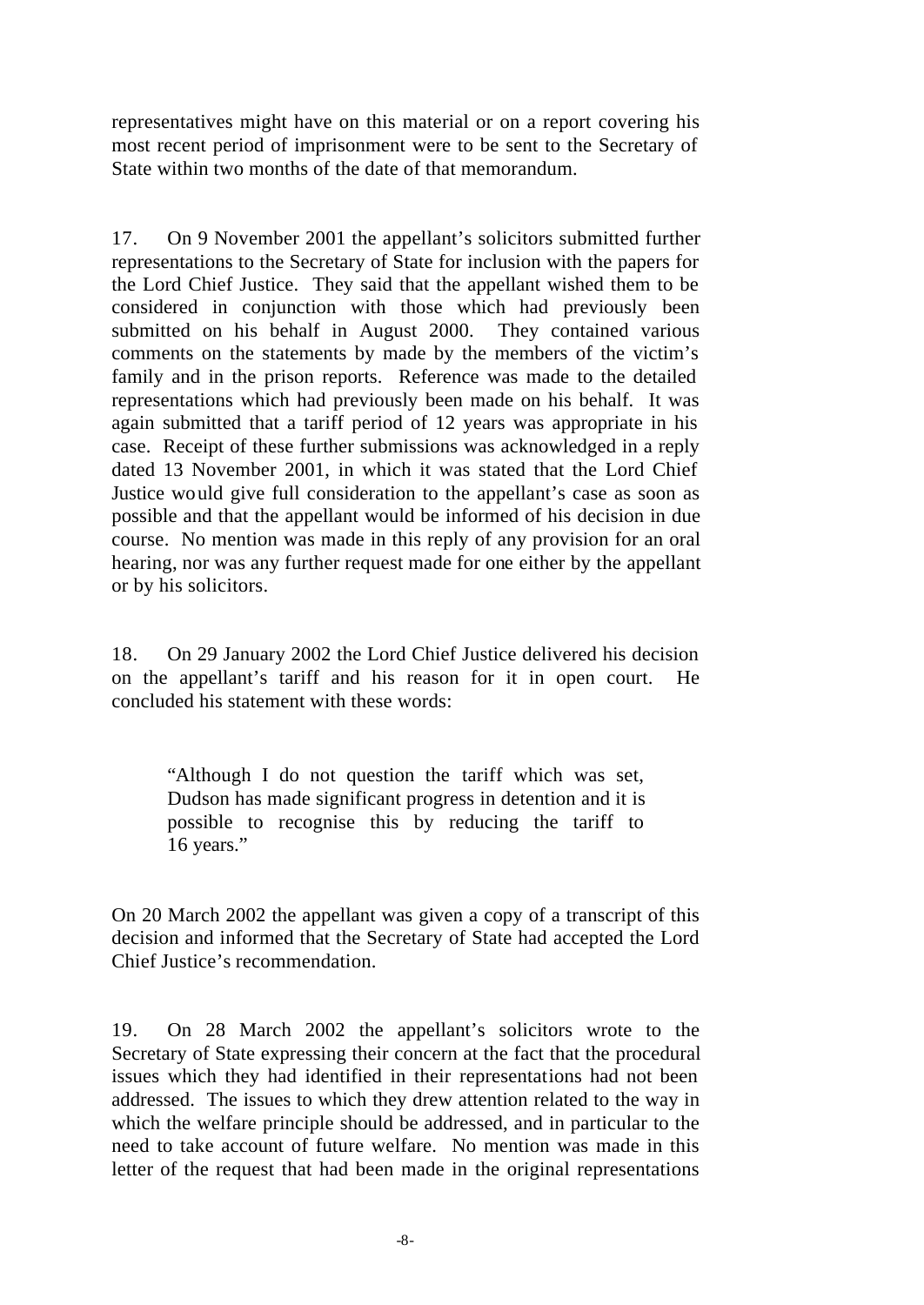representatives might have on this material or on a report covering his most recent period of imprisonment were to be sent to the Secretary of State within two months of the date of that memorandum.

17. On 9 November 2001 the appellant's solicitors submitted further representations to the Secretary of State for inclusion with the papers for the Lord Chief Justice. They said that the appellant wished them to be considered in conjunction with those which had previously been submitted on his behalf in August 2000. They contained various comments on the statements by made by the members of the victim's family and in the prison reports. Reference was made to the detailed representations which had previously been made on his behalf. It was again submitted that a tariff period of 12 years was appropriate in his case. Receipt of these further submissions was acknowledged in a reply dated 13 November 2001, in which it was stated that the Lord Chief Justice would give full consideration to the appellant's case as soon as possible and that the appellant would be informed of his decision in due course. No mention was made in this reply of any provision for an oral hearing, nor was any further request made for one either by the appellant or by his solicitors.

18. On 29 January 2002 the Lord Chief Justice delivered his decision on the appellant's tariff and his reason for it in open court. He concluded his statement with these words:

"Although I do not question the tariff which was set, Dudson has made significant progress in detention and it is possible to recognise this by reducing the tariff to 16 years."

On 20 March 2002 the appellant was given a copy of a transcript of this decision and informed that the Secretary of State had accepted the Lord Chief Justice's recommendation.

19. On 28 March 2002 the appellant's solicitors wrote to the Secretary of State expressing their concern at the fact that the procedural issues which they had identified in their representations had not been addressed. The issues to which they drew attention related to the way in which the welfare principle should be addressed, and in particular to the need to take account of future welfare. No mention was made in this letter of the request that had been made in the original representations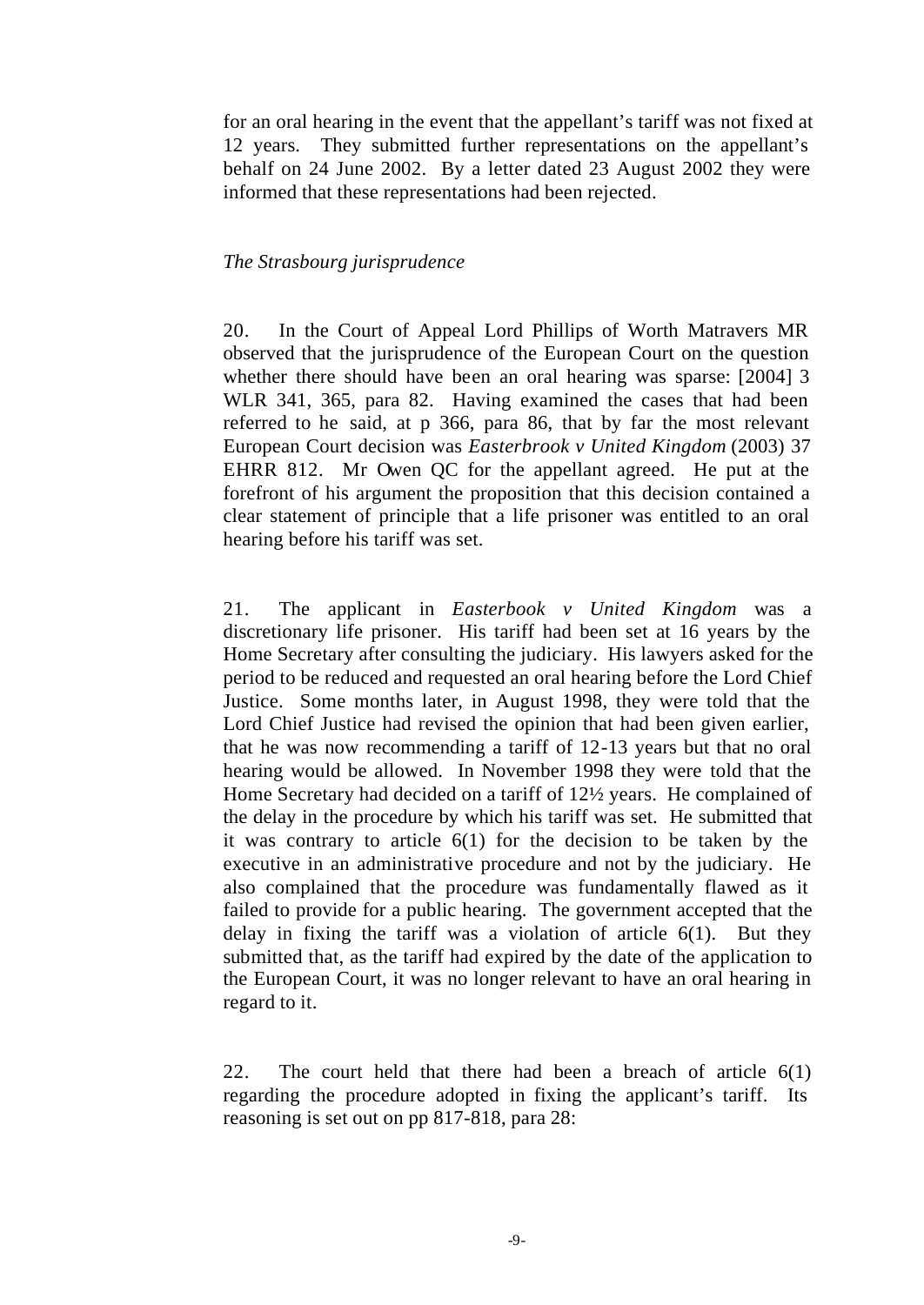for an oral hearing in the event that the appellant's tariff was not fixed at 12 years. They submitted further representations on the appellant's behalf on 24 June 2002. By a letter dated 23 August 2002 they were informed that these representations had been rejected.

### *The Strasbourg jurisprudence*

20. In the Court of Appeal Lord Phillips of Worth Matravers MR observed that the jurisprudence of the European Court on the question whether there should have been an oral hearing was sparse: [2004] 3 WLR 341, 365, para 82. Having examined the cases that had been referred to he said, at p 366, para 86, that by far the most relevant European Court decision was *Easterbrook v United Kingdom* (2003) 37 EHRR 812. Mr Owen QC for the appellant agreed. He put at the forefront of his argument the proposition that this decision contained a clear statement of principle that a life prisoner was entitled to an oral hearing before his tariff was set.

21. The applicant in *Easterbook v United Kingdom* was a discretionary life prisoner. His tariff had been set at 16 years by the Home Secretary after consulting the judiciary. His lawyers asked for the period to be reduced and requested an oral hearing before the Lord Chief Justice. Some months later, in August 1998, they were told that the Lord Chief Justice had revised the opinion that had been given earlier, that he was now recommending a tariff of 12-13 years but that no oral hearing would be allowed. In November 1998 they were told that the Home Secretary had decided on a tariff of 12½ years. He complained of the delay in the procedure by which his tariff was set. He submitted that it was contrary to article 6(1) for the decision to be taken by the executive in an administrative procedure and not by the judiciary. He also complained that the procedure was fundamentally flawed as it failed to provide for a public hearing. The government accepted that the delay in fixing the tariff was a violation of article 6(1). But they submitted that, as the tariff had expired by the date of the application to the European Court, it was no longer relevant to have an oral hearing in regard to it.

22. The court held that there had been a breach of article 6(1) regarding the procedure adopted in fixing the applicant's tariff. Its reasoning is set out on pp 817-818, para 28: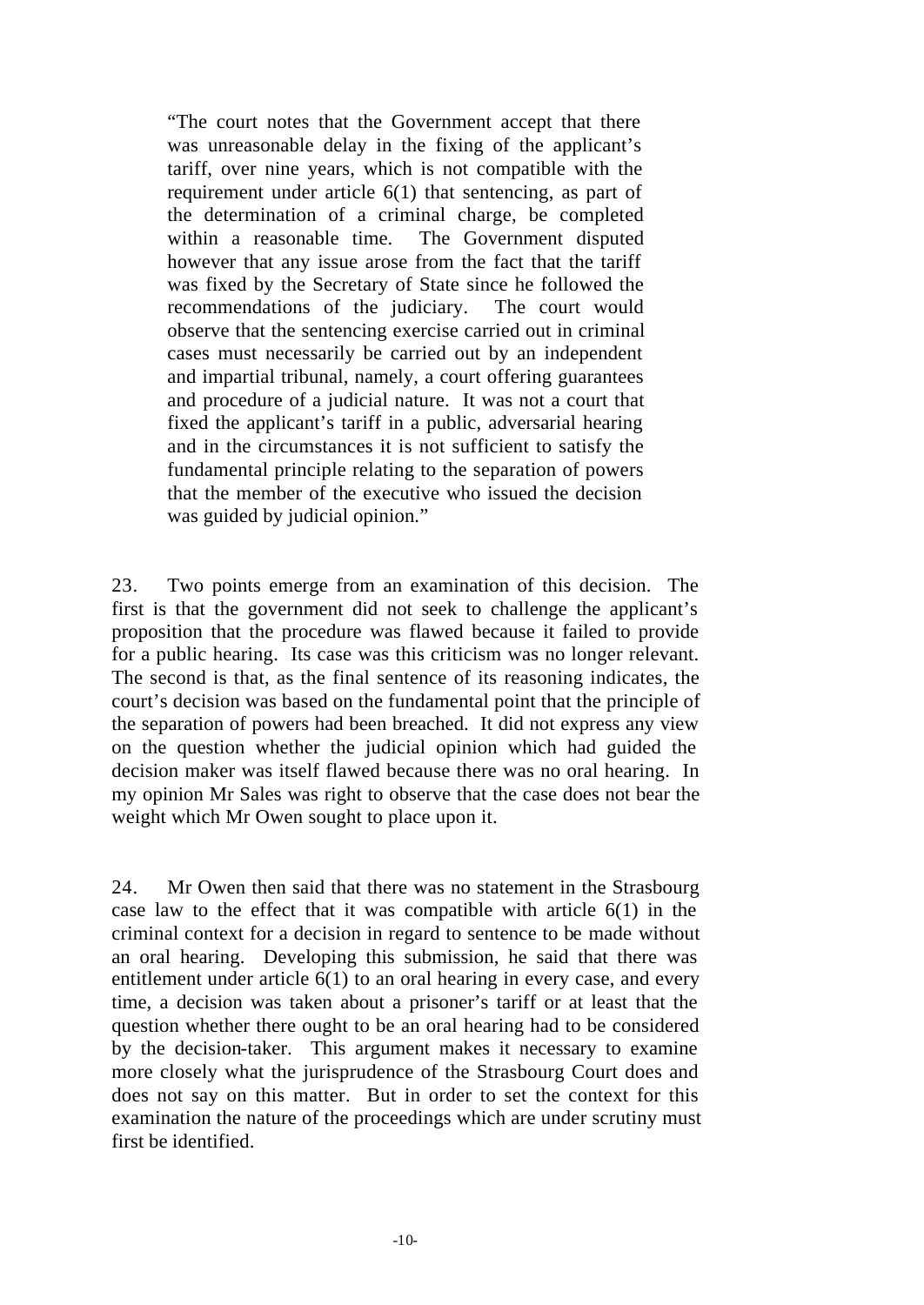"The court notes that the Government accept that there was unreasonable delay in the fixing of the applicant's tariff, over nine years, which is not compatible with the requirement under article 6(1) that sentencing, as part of the determination of a criminal charge, be completed within a reasonable time. The Government disputed however that any issue arose from the fact that the tariff was fixed by the Secretary of State since he followed the recommendations of the judiciary. The court would observe that the sentencing exercise carried out in criminal cases must necessarily be carried out by an independent and impartial tribunal, namely, a court offering guarantees and procedure of a judicial nature. It was not a court that fixed the applicant's tariff in a public, adversarial hearing and in the circumstances it is not sufficient to satisfy the fundamental principle relating to the separation of powers that the member of the executive who issued the decision was guided by judicial opinion."

23. Two points emerge from an examination of this decision. The first is that the government did not seek to challenge the applicant's proposition that the procedure was flawed because it failed to provide for a public hearing. Its case was this criticism was no longer relevant. The second is that, as the final sentence of its reasoning indicates, the court's decision was based on the fundamental point that the principle of the separation of powers had been breached. It did not express any view on the question whether the judicial opinion which had guided the decision maker was itself flawed because there was no oral hearing. In my opinion Mr Sales was right to observe that the case does not bear the weight which Mr Owen sought to place upon it.

24. Mr Owen then said that there was no statement in the Strasbourg case law to the effect that it was compatible with article 6(1) in the criminal context for a decision in regard to sentence to be made without an oral hearing. Developing this submission, he said that there was entitlement under article 6(1) to an oral hearing in every case, and every time, a decision was taken about a prisoner's tariff or at least that the question whether there ought to be an oral hearing had to be considered by the decision-taker. This argument makes it necessary to examine more closely what the jurisprudence of the Strasbourg Court does and does not say on this matter. But in order to set the context for this examination the nature of the proceedings which are under scrutiny must first be identified.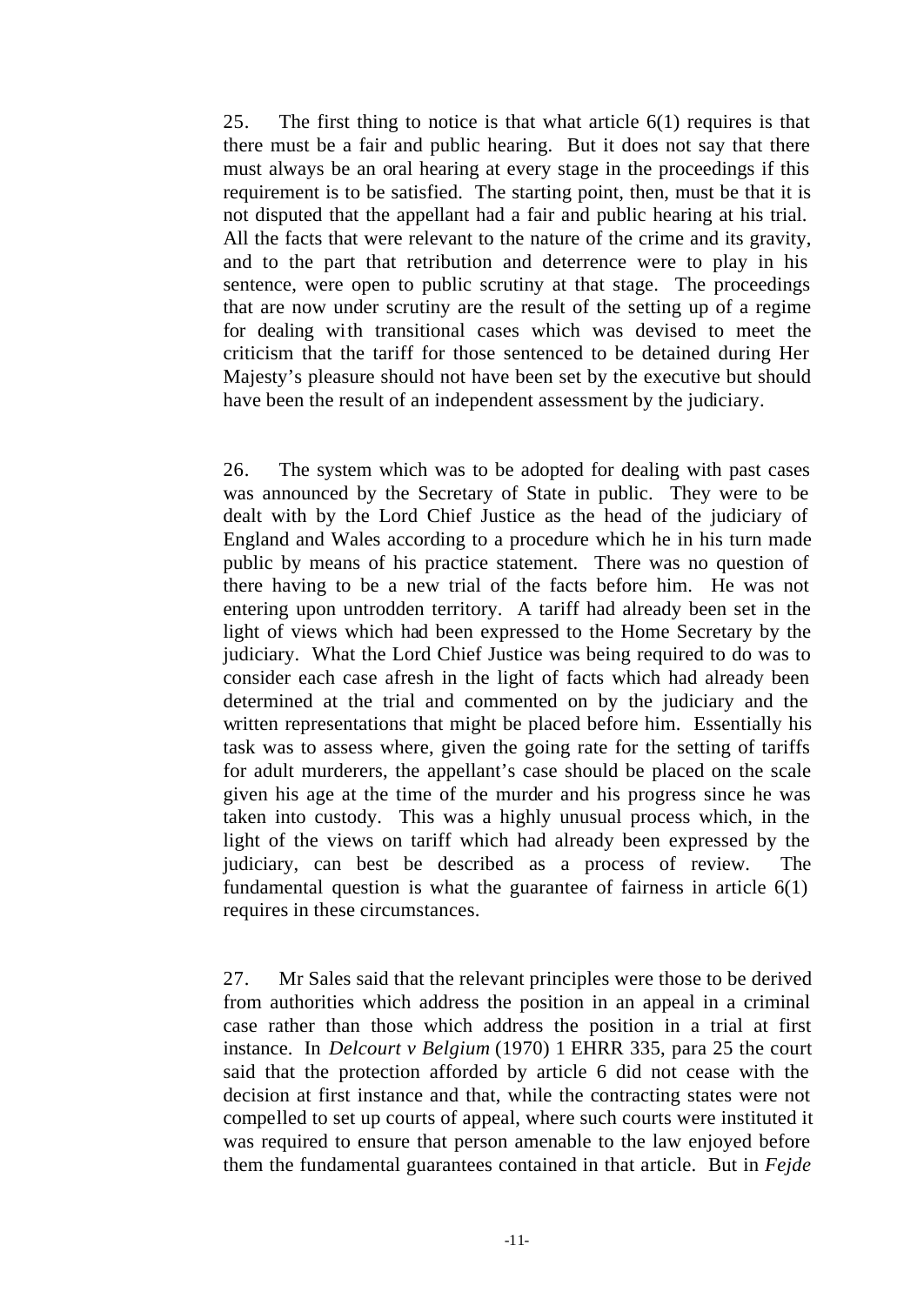25. The first thing to notice is that what article 6(1) requires is that there must be a fair and public hearing. But it does not say that there must always be an oral hearing at every stage in the proceedings if this requirement is to be satisfied. The starting point, then, must be that it is not disputed that the appellant had a fair and public hearing at his trial. All the facts that were relevant to the nature of the crime and its gravity, and to the part that retribution and deterrence were to play in his sentence, were open to public scrutiny at that stage. The proceedings that are now under scrutiny are the result of the setting up of a regime for dealing with transitional cases which was devised to meet the criticism that the tariff for those sentenced to be detained during Her Majesty's pleasure should not have been set by the executive but should have been the result of an independent assessment by the judiciary.

26. The system which was to be adopted for dealing with past cases was announced by the Secretary of State in public. They were to be dealt with by the Lord Chief Justice as the head of the judiciary of England and Wales according to a procedure which he in his turn made public by means of his practice statement. There was no question of there having to be a new trial of the facts before him. He was not entering upon untrodden territory. A tariff had already been set in the light of views which had been expressed to the Home Secretary by the judiciary. What the Lord Chief Justice was being required to do was to consider each case afresh in the light of facts which had already been determined at the trial and commented on by the judiciary and the written representations that might be placed before him. Essentially his task was to assess where, given the going rate for the setting of tariffs for adult murderers, the appellant's case should be placed on the scale given his age at the time of the murder and his progress since he was taken into custody. This was a highly unusual process which, in the light of the views on tariff which had already been expressed by the judiciary, can best be described as a process of review. The fundamental question is what the guarantee of fairness in article  $6(1)$ requires in these circumstances.

27. Mr Sales said that the relevant principles were those to be derived from authorities which address the position in an appeal in a criminal case rather than those which address the position in a trial at first instance. In *Delcourt v Belgium* (1970) 1 EHRR 335, para 25 the court said that the protection afforded by article 6 did not cease with the decision at first instance and that, while the contracting states were not compelled to set up courts of appeal, where such courts were instituted it was required to ensure that person amenable to the law enjoyed before them the fundamental guarantees contained in that article. But in *Fejde*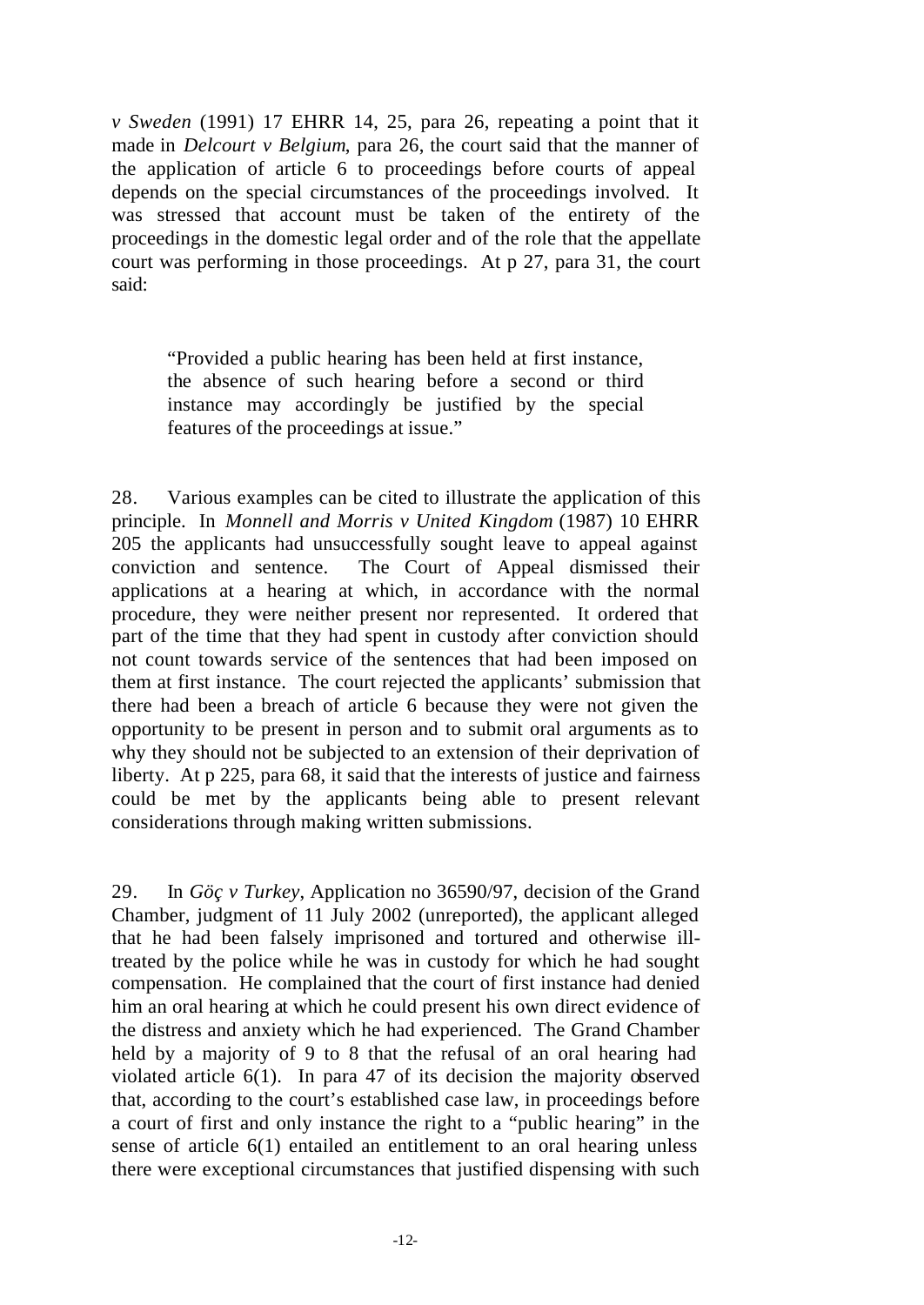*v Sweden* (1991) 17 EHRR 14, 25, para 26, repeating a point that it made in *Delcourt v Belgium*, para 26, the court said that the manner of the application of article 6 to proceedings before courts of appeal depends on the special circumstances of the proceedings involved. It was stressed that account must be taken of the entirety of the proceedings in the domestic legal order and of the role that the appellate court was performing in those proceedings. At p 27, para 31, the court said:

"Provided a public hearing has been held at first instance, the absence of such hearing before a second or third instance may accordingly be justified by the special features of the proceedings at issue."

28. Various examples can be cited to illustrate the application of this principle. In *Monnell and Morris v United Kingdom* (1987) 10 EHRR 205 the applicants had unsuccessfully sought leave to appeal against conviction and sentence. The Court of Appeal dismissed their applications at a hearing at which, in accordance with the normal procedure, they were neither present nor represented. It ordered that part of the time that they had spent in custody after conviction should not count towards service of the sentences that had been imposed on them at first instance. The court rejected the applicants' submission that there had been a breach of article 6 because they were not given the opportunity to be present in person and to submit oral arguments as to why they should not be subjected to an extension of their deprivation of liberty. At p 225, para 68, it said that the interests of justice and fairness could be met by the applicants being able to present relevant considerations through making written submissions.

29. In *Göç v Turkey*, Application no 36590/97, decision of the Grand Chamber, judgment of 11 July 2002 (unreported), the applicant alleged that he had been falsely imprisoned and tortured and otherwise illtreated by the police while he was in custody for which he had sought compensation. He complained that the court of first instance had denied him an oral hearing at which he could present his own direct evidence of the distress and anxiety which he had experienced. The Grand Chamber held by a majority of 9 to 8 that the refusal of an oral hearing had violated article 6(1). In para 47 of its decision the majority observed that, according to the court's established case law, in proceedings before a court of first and only instance the right to a "public hearing" in the sense of article 6(1) entailed an entitlement to an oral hearing unless there were exceptional circumstances that justified dispensing with such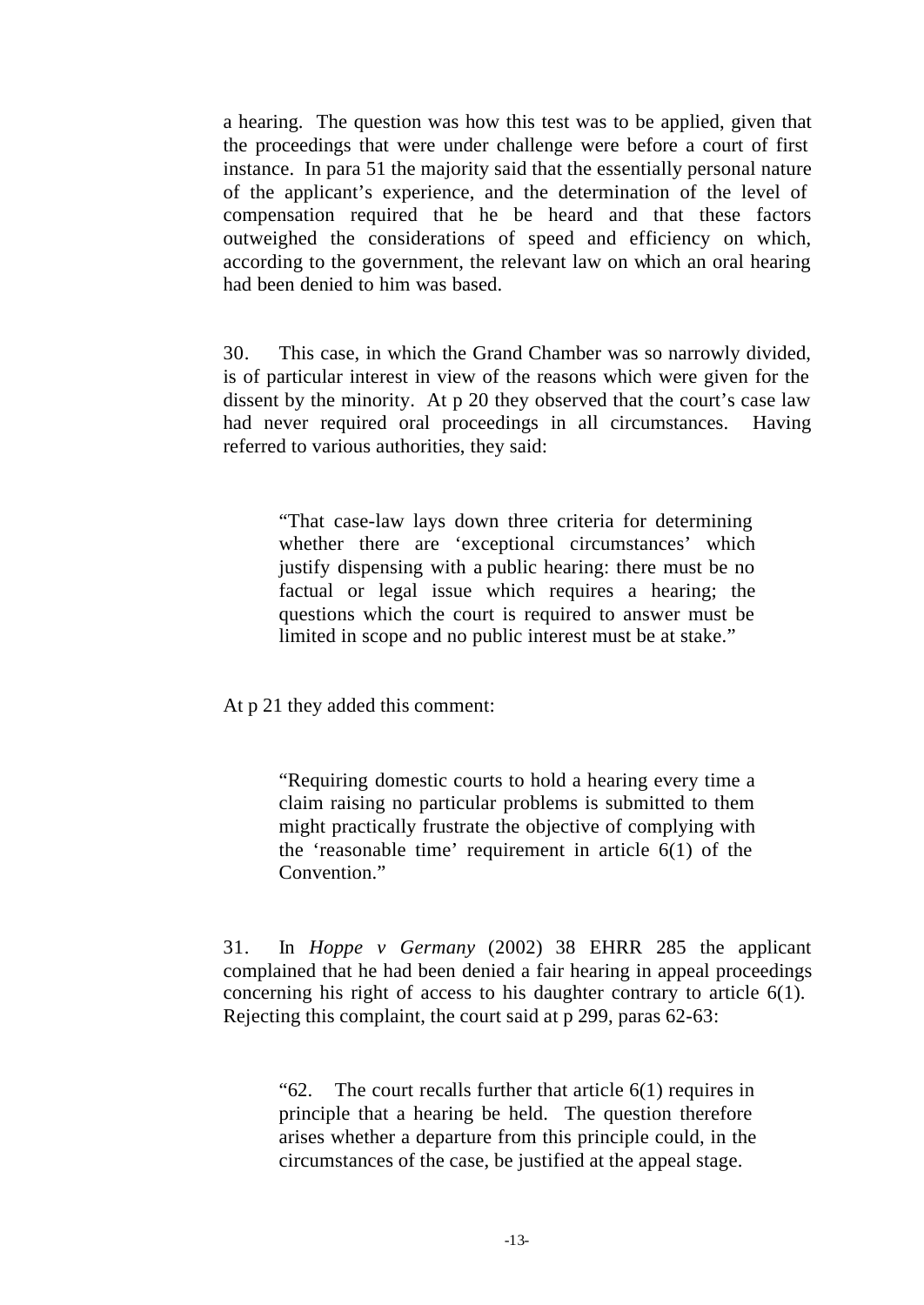a hearing. The question was how this test was to be applied, given that the proceedings that were under challenge were before a court of first instance. In para 51 the majority said that the essentially personal nature of the applicant's experience, and the determination of the level of compensation required that he be heard and that these factors outweighed the considerations of speed and efficiency on which, according to the government, the relevant law on which an oral hearing had been denied to him was based.

30. This case, in which the Grand Chamber was so narrowly divided, is of particular interest in view of the reasons which were given for the dissent by the minority. At p 20 they observed that the court's case law had never required oral proceedings in all circumstances. Having referred to various authorities, they said:

"That case-law lays down three criteria for determining whether there are 'exceptional circumstances' which justify dispensing with a public hearing: there must be no factual or legal issue which requires a hearing; the questions which the court is required to answer must be limited in scope and no public interest must be at stake."

At p 21 they added this comment:

"Requiring domestic courts to hold a hearing every time a claim raising no particular problems is submitted to them might practically frustrate the objective of complying with the 'reasonable time' requirement in article 6(1) of the Convention."

31. In *Hoppe v Germany* (2002) 38 EHRR 285 the applicant complained that he had been denied a fair hearing in appeal proceedings concerning his right of access to his daughter contrary to article 6(1). Rejecting this complaint, the court said at p 299, paras 62-63:

"62. The court recalls further that article 6(1) requires in principle that a hearing be held. The question therefore arises whether a departure from this principle could, in the circumstances of the case, be justified at the appeal stage.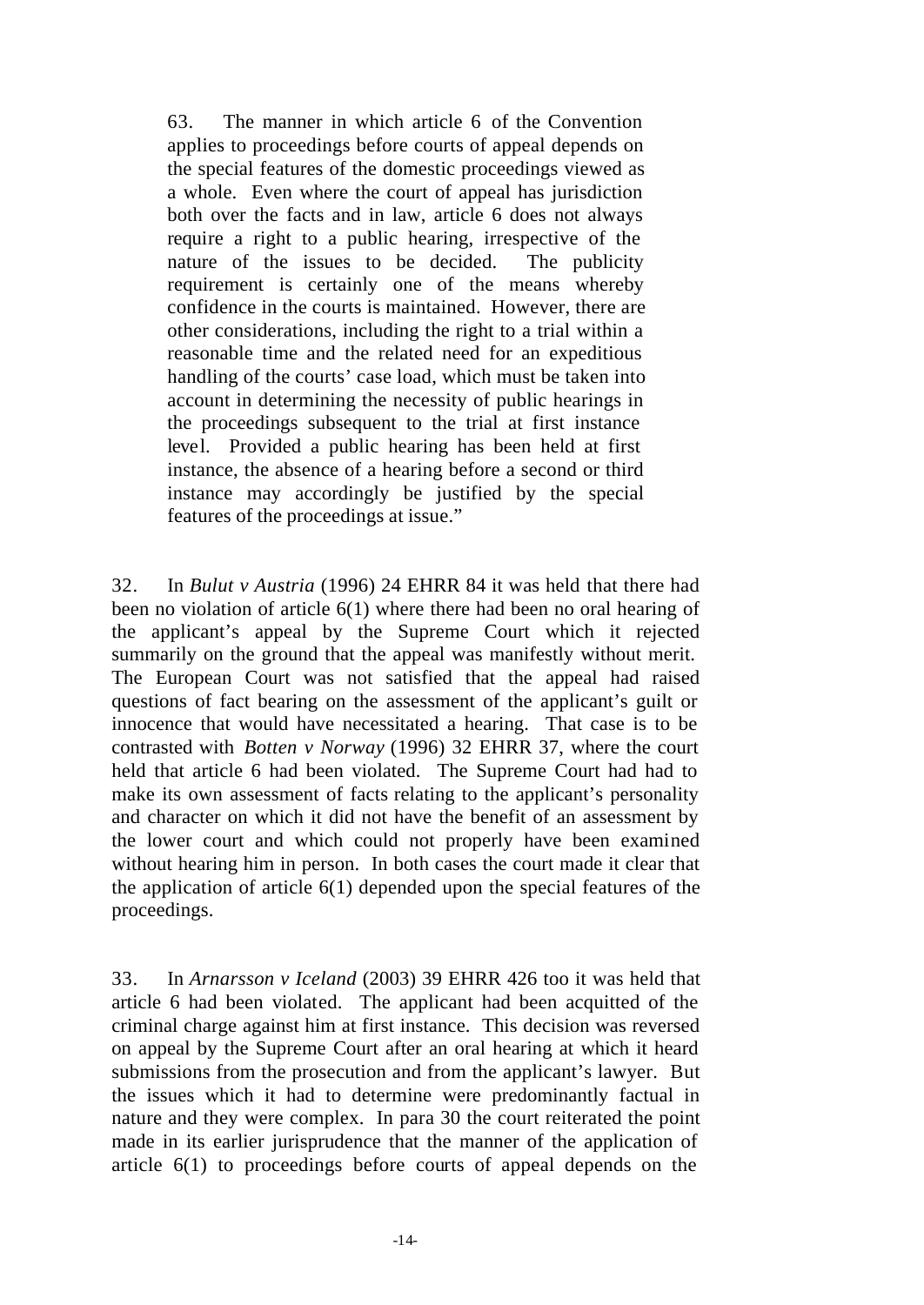63. The manner in which article 6 of the Convention applies to proceedings before courts of appeal depends on the special features of the domestic proceedings viewed as a whole. Even where the court of appeal has jurisdiction both over the facts and in law, article 6 does not always require a right to a public hearing, irrespective of the nature of the issues to be decided. The publicity requirement is certainly one of the means whereby confidence in the courts is maintained. However, there are other considerations, including the right to a trial within a reasonable time and the related need for an expeditious handling of the courts' case load, which must be taken into account in determining the necessity of public hearings in the proceedings subsequent to the trial at first instance level. Provided a public hearing has been held at first instance, the absence of a hearing before a second or third instance may accordingly be justified by the special features of the proceedings at issue."

32. In *Bulut v Austria* (1996) 24 EHRR 84 it was held that there had been no violation of article 6(1) where there had been no oral hearing of the applicant's appeal by the Supreme Court which it rejected summarily on the ground that the appeal was manifestly without merit. The European Court was not satisfied that the appeal had raised questions of fact bearing on the assessment of the applicant's guilt or innocence that would have necessitated a hearing. That case is to be contrasted with *Botten v Norway* (1996) 32 EHRR 37, where the court held that article 6 had been violated. The Supreme Court had had to make its own assessment of facts relating to the applicant's personality and character on which it did not have the benefit of an assessment by the lower court and which could not properly have been examined without hearing him in person. In both cases the court made it clear that the application of article 6(1) depended upon the special features of the proceedings.

33. In *Arnarsson v Iceland* (2003) 39 EHRR 426 too it was held that article 6 had been violated. The applicant had been acquitted of the criminal charge against him at first instance. This decision was reversed on appeal by the Supreme Court after an oral hearing at which it heard submissions from the prosecution and from the applicant's lawyer. But the issues which it had to determine were predominantly factual in nature and they were complex. In para 30 the court reiterated the point made in its earlier jurisprudence that the manner of the application of article 6(1) to proceedings before courts of appeal depends on the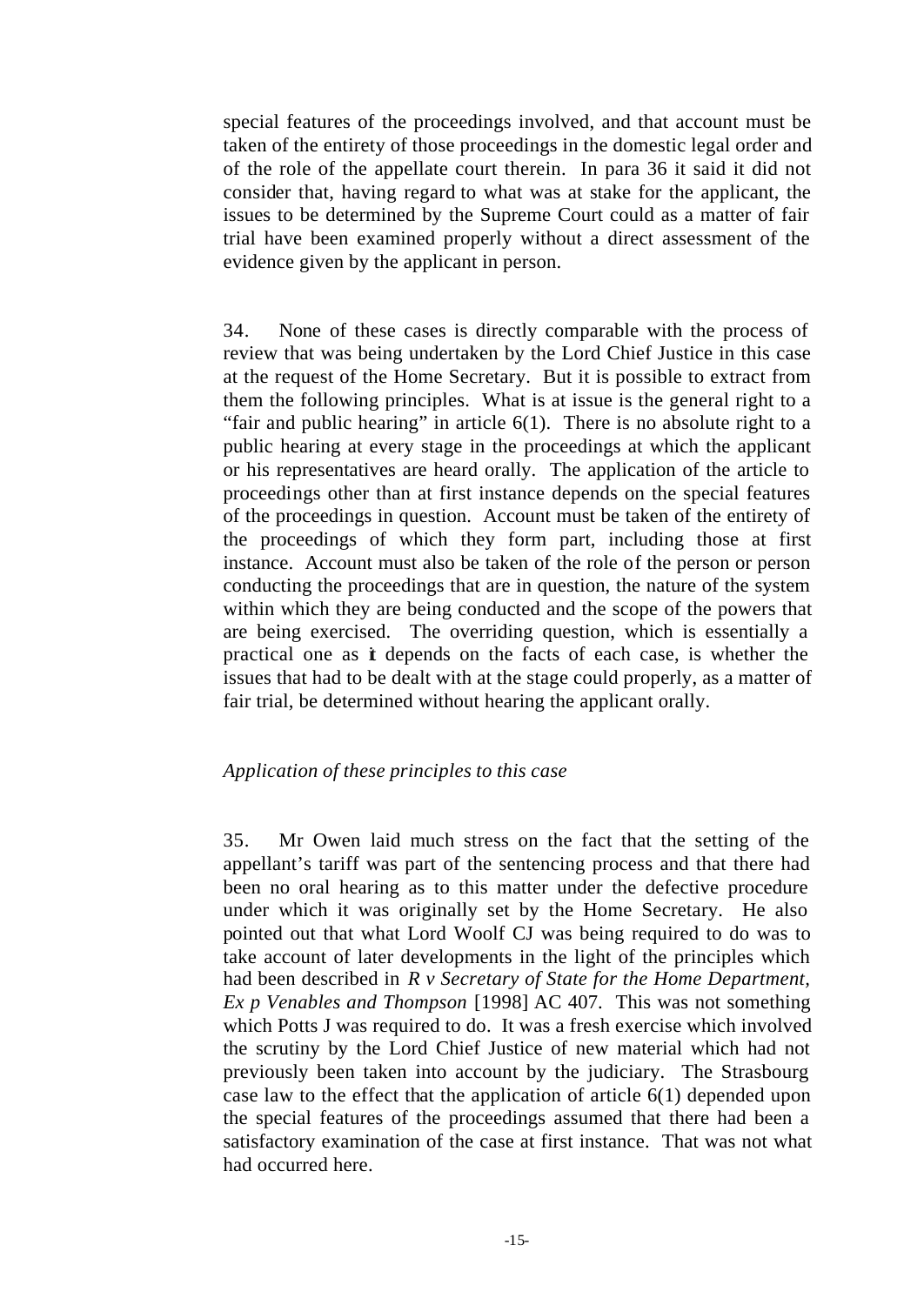special features of the proceedings involved, and that account must be taken of the entirety of those proceedings in the domestic legal order and of the role of the appellate court therein. In para 36 it said it did not consider that, having regard to what was at stake for the applicant, the issues to be determined by the Supreme Court could as a matter of fair trial have been examined properly without a direct assessment of the evidence given by the applicant in person.

34. None of these cases is directly comparable with the process of review that was being undertaken by the Lord Chief Justice in this case at the request of the Home Secretary. But it is possible to extract from them the following principles. What is at issue is the general right to a "fair and public hearing" in article  $6(1)$ . There is no absolute right to a public hearing at every stage in the proceedings at which the applicant or his representatives are heard orally. The application of the article to proceedings other than at first instance depends on the special features of the proceedings in question. Account must be taken of the entirety of the proceedings of which they form part, including those at first instance. Account must also be taken of the role of the person or person conducting the proceedings that are in question, the nature of the system within which they are being conducted and the scope of the powers that are being exercised. The overriding question, which is essentially a practical one as it depends on the facts of each case, is whether the issues that had to be dealt with at the stage could properly, as a matter of fair trial, be determined without hearing the applicant orally.

### *Application of these principles to this case*

35. Mr Owen laid much stress on the fact that the setting of the appellant's tariff was part of the sentencing process and that there had been no oral hearing as to this matter under the defective procedure under which it was originally set by the Home Secretary. He also pointed out that what Lord Woolf CJ was being required to do was to take account of later developments in the light of the principles which had been described in *R v Secretary of State for the Home Department, Ex p Venables and Thompson* [1998] AC 407. This was not something which Potts J was required to do. It was a fresh exercise which involved the scrutiny by the Lord Chief Justice of new material which had not previously been taken into account by the judiciary. The Strasbourg case law to the effect that the application of article 6(1) depended upon the special features of the proceedings assumed that there had been a satisfactory examination of the case at first instance. That was not what had occurred here.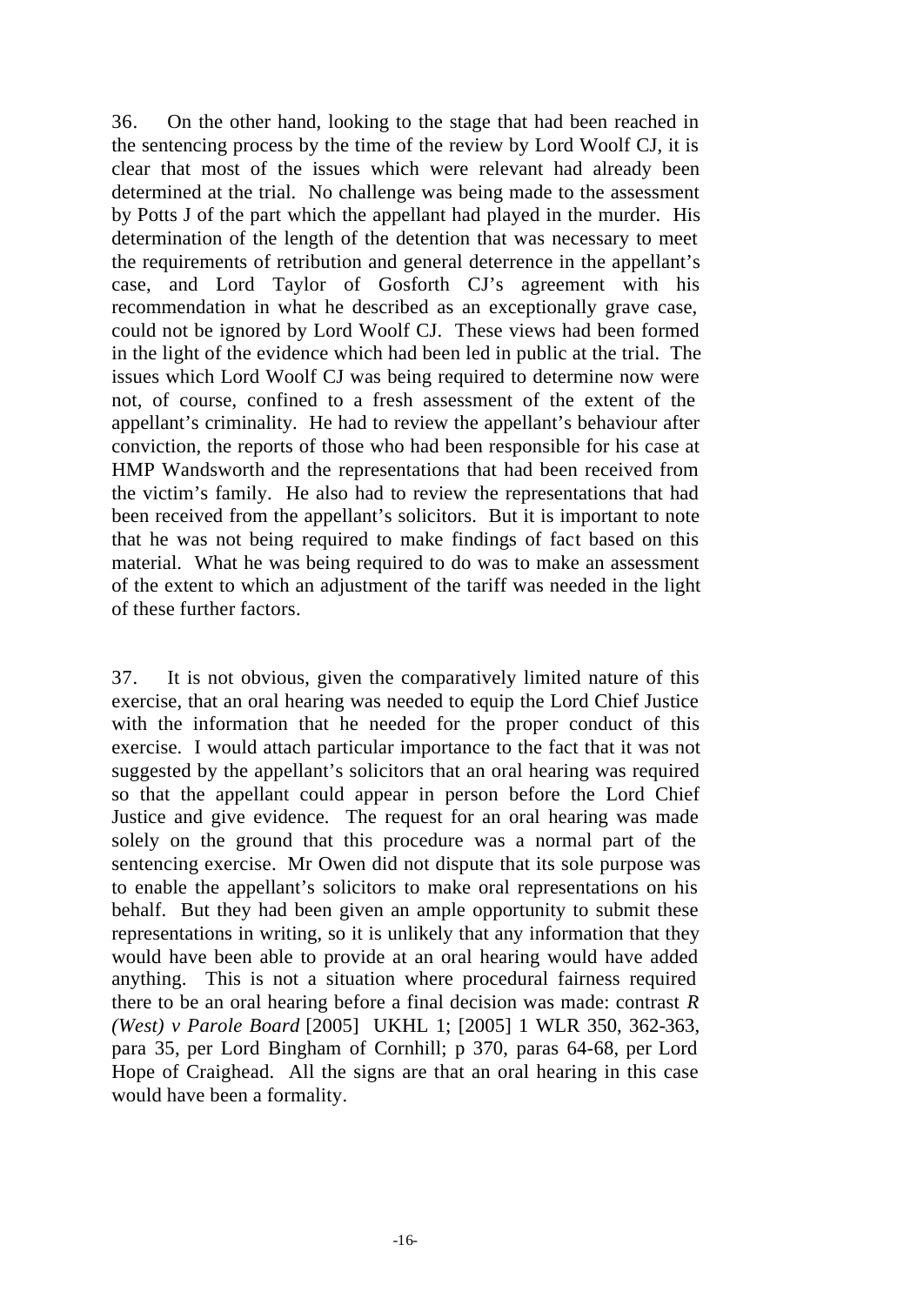36. On the other hand, looking to the stage that had been reached in the sentencing process by the time of the review by Lord Woolf CJ, it is clear that most of the issues which were relevant had already been determined at the trial. No challenge was being made to the assessment by Potts J of the part which the appellant had played in the murder. His determination of the length of the detention that was necessary to meet the requirements of retribution and general deterrence in the appellant's case, and Lord Taylor of Gosforth CJ's agreement with his recommendation in what he described as an exceptionally grave case, could not be ignored by Lord Woolf CJ. These views had been formed in the light of the evidence which had been led in public at the trial. The issues which Lord Woolf CJ was being required to determine now were not, of course, confined to a fresh assessment of the extent of the appellant's criminality. He had to review the appellant's behaviour after conviction, the reports of those who had been responsible for his case at HMP Wandsworth and the representations that had been received from the victim's family. He also had to review the representations that had been received from the appellant's solicitors. But it is important to note that he was not being required to make findings of fact based on this material. What he was being required to do was to make an assessment of the extent to which an adjustment of the tariff was needed in the light of these further factors.

37. It is not obvious, given the comparatively limited nature of this exercise, that an oral hearing was needed to equip the Lord Chief Justice with the information that he needed for the proper conduct of this exercise. I would attach particular importance to the fact that it was not suggested by the appellant's solicitors that an oral hearing was required so that the appellant could appear in person before the Lord Chief Justice and give evidence. The request for an oral hearing was made solely on the ground that this procedure was a normal part of the sentencing exercise. Mr Owen did not dispute that its sole purpose was to enable the appellant's solicitors to make oral representations on his behalf. But they had been given an ample opportunity to submit these representations in writing, so it is unlikely that any information that they would have been able to provide at an oral hearing would have added anything. This is not a situation where procedural fairness required there to be an oral hearing before a final decision was made: contrast *R (West) v Parole Board* [2005] UKHL 1; [2005] 1 WLR 350, 362-363, para 35, per Lord Bingham of Cornhill; p 370, paras 64-68, per Lord Hope of Craighead. All the signs are that an oral hearing in this case would have been a formality.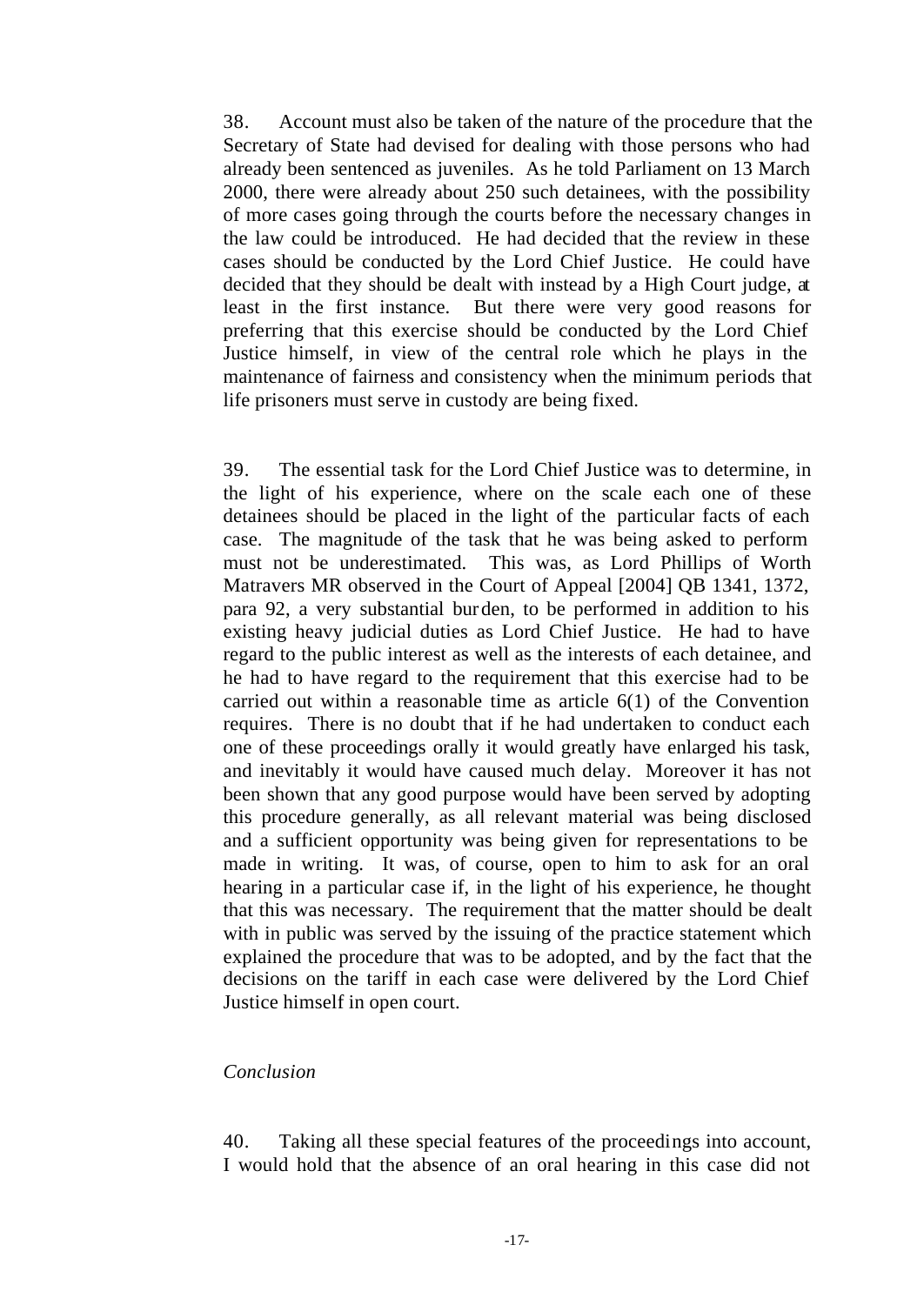38. Account must also be taken of the nature of the procedure that the Secretary of State had devised for dealing with those persons who had already been sentenced as juveniles. As he told Parliament on 13 March 2000, there were already about 250 such detainees, with the possibility of more cases going through the courts before the necessary changes in the law could be introduced. He had decided that the review in these cases should be conducted by the Lord Chief Justice. He could have decided that they should be dealt with instead by a High Court judge, at least in the first instance. But there were very good reasons for preferring that this exercise should be conducted by the Lord Chief Justice himself, in view of the central role which he plays in the maintenance of fairness and consistency when the minimum periods that life prisoners must serve in custody are being fixed.

39. The essential task for the Lord Chief Justice was to determine, in the light of his experience, where on the scale each one of these detainees should be placed in the light of the particular facts of each case. The magnitude of the task that he was being asked to perform must not be underestimated. This was, as Lord Phillips of Worth Matravers MR observed in the Court of Appeal [2004] QB 1341, 1372, para 92, a very substantial burden, to be performed in addition to his existing heavy judicial duties as Lord Chief Justice. He had to have regard to the public interest as well as the interests of each detainee, and he had to have regard to the requirement that this exercise had to be carried out within a reasonable time as article 6(1) of the Convention requires. There is no doubt that if he had undertaken to conduct each one of these proceedings orally it would greatly have enlarged his task, and inevitably it would have caused much delay. Moreover it has not been shown that any good purpose would have been served by adopting this procedure generally, as all relevant material was being disclosed and a sufficient opportunity was being given for representations to be made in writing. It was, of course, open to him to ask for an oral hearing in a particular case if, in the light of his experience, he thought that this was necessary. The requirement that the matter should be dealt with in public was served by the issuing of the practice statement which explained the procedure that was to be adopted, and by the fact that the decisions on the tariff in each case were delivered by the Lord Chief Justice himself in open court.

### *Conclusion*

40. Taking all these special features of the proceedings into account, I would hold that the absence of an oral hearing in this case did not